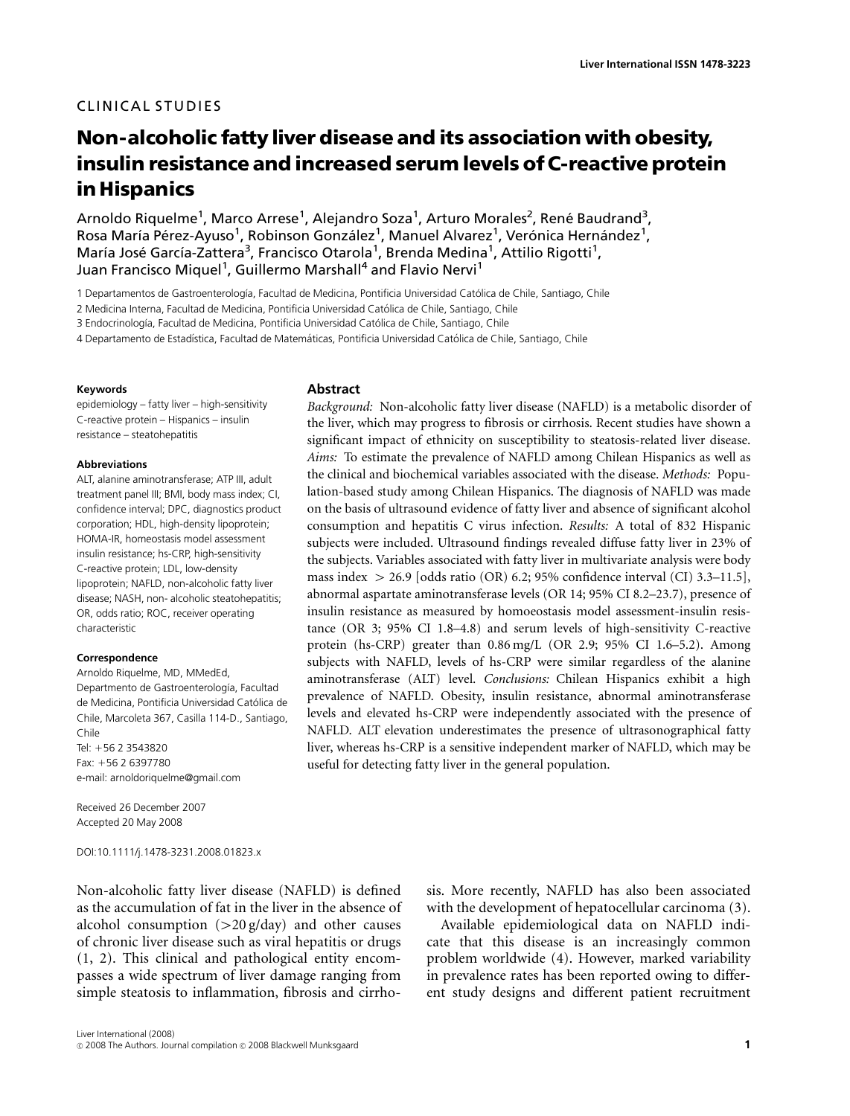# Non-alcoholic fatty liver disease and its association with obesity, insulin resistance and increased serum levels of C-reactive protein in Hispanics

Arnoldo Riquelme<sup>1</sup>, Marco Arrese<sup>1</sup>, Alejandro Soza<sup>1</sup>, Arturo Morales<sup>2</sup>, René Baudrand<sup>3</sup>, Rosa María Pérez-Ayuso<sup>1</sup>, Robinson González<sup>1</sup>, Manuel Alvarez<sup>1</sup>, Verónica Hernández<sup>1</sup>, María José García-Zattera<sup>3</sup>, Francisco Otarola<sup>1</sup>, Brenda Medina<sup>1</sup>, Attilio Rigotti<sup>1</sup>, Juan Francisco Miquel<sup>1</sup>, Guillermo Marshall<sup>4</sup> and Flavio Nervi<sup>1</sup>

1 Departamentos de Gastroenterología, Facultad de Medicina, Pontificia Universidad Católica de Chile, Santiago, Chile

2 Medicina Interna, Facultad de Medicina, Pontificia Universidad Católica de Chile, Santiago, Chile

3 Endocrinología, Facultad de Medicina, Pontificia Universidad Católica de Chile, Santiago, Chile

4 Departamento de Estadística, Facultad de Matemáticas, Pontificia Universidad Católica de Chile, Santiago, Chile

#### Keywords

epidemiology – fatty liver – high-sensitivity C-reactive protein – Hispanics – insulin resistance – steatohepatitis

#### Abbreviations

ALT, alanine aminotransferase; ATP III, adult treatment panel III; BMI, body mass index; CI, confidence interval; DPC, diagnostics product corporation; HDL, high-density lipoprotein; HOMA-IR, homeostasis model assessment insulin resistance; hs-CRP, high-sensitivity C-reactive protein; LDL, low-density lipoprotein; NAFLD, non-alcoholic fatty liver disease; NASH, non- alcoholic steatohepatitis; OR, odds ratio; ROC, receiver operating characteristic

#### Correspondence

Arnoldo Riquelme, MD, MMedEd, Departmento de Gastroenterología, Facultad de Medicina, Pontificia Universidad Catolica de ´ Chile, Marcoleta 367, Casilla 114-D., Santiago, Chile  $Tel: +56$  2 3543820 Fax: +56 2 6397780 e-mail: arnoldoriquelme@gmail.com

Received 26 December 2007 Accepted 20 May 2008

DOI:10.1111/j.1478-3231.2008.01823.x

Non-alcoholic fatty liver disease (NAFLD) is defined as the accumulation of fat in the liver in the absence of alcohol consumption  $(>20 g/day)$  and other causes of chronic liver disease such as viral hepatitis or drugs (1, 2). This clinical and pathological entity encompasses a wide spectrum of liver damage ranging from simple steatosis to inflammation, fibrosis and cirrho-

#### **Abstract**

Background: Non-alcoholic fatty liver disease (NAFLD) is a metabolic disorder of the liver, which may progress to fibrosis or cirrhosis. Recent studies have shown a significant impact of ethnicity on susceptibility to steatosis-related liver disease. Aims: To estimate the prevalence of NAFLD among Chilean Hispanics as well as the clinical and biochemical variables associated with the disease. Methods: Population-based study among Chilean Hispanics. The diagnosis of NAFLD was made on the basis of ultrasound evidence of fatty liver and absence of significant alcohol consumption and hepatitis C virus infection. Results: A total of 832 Hispanic subjects were included. Ultrasound findings revealed diffuse fatty liver in 23% of the subjects. Variables associated with fatty liver in multivariate analysis were body mass index  $> 26.9$  [odds ratio (OR) 6.2; 95% confidence interval (CI) 3.3–11.5], abnormal aspartate aminotransferase levels (OR 14; 95% CI 8.2–23.7), presence of insulin resistance as measured by homoeostasis model assessment-insulin resistance (OR 3; 95% CI 1.8–4.8) and serum levels of high-sensitivity C-reactive protein (hs-CRP) greater than 0.86 mg/L (OR 2.9; 95% CI 1.6–5.2). Among subjects with NAFLD, levels of hs-CRP were similar regardless of the alanine aminotransferase (ALT) level. Conclusions: Chilean Hispanics exhibit a high prevalence of NAFLD. Obesity, insulin resistance, abnormal aminotransferase levels and elevated hs-CRP were independently associated with the presence of NAFLD. ALT elevation underestimates the presence of ultrasonographical fatty liver, whereas hs-CRP is a sensitive independent marker of NAFLD, which may be useful for detecting fatty liver in the general population.

> sis. More recently, NAFLD has also been associated with the development of hepatocellular carcinoma (3).

> Available epidemiological data on NAFLD indicate that this disease is an increasingly common problem worldwide (4). However, marked variability in prevalence rates has been reported owing to different study designs and different patient recruitment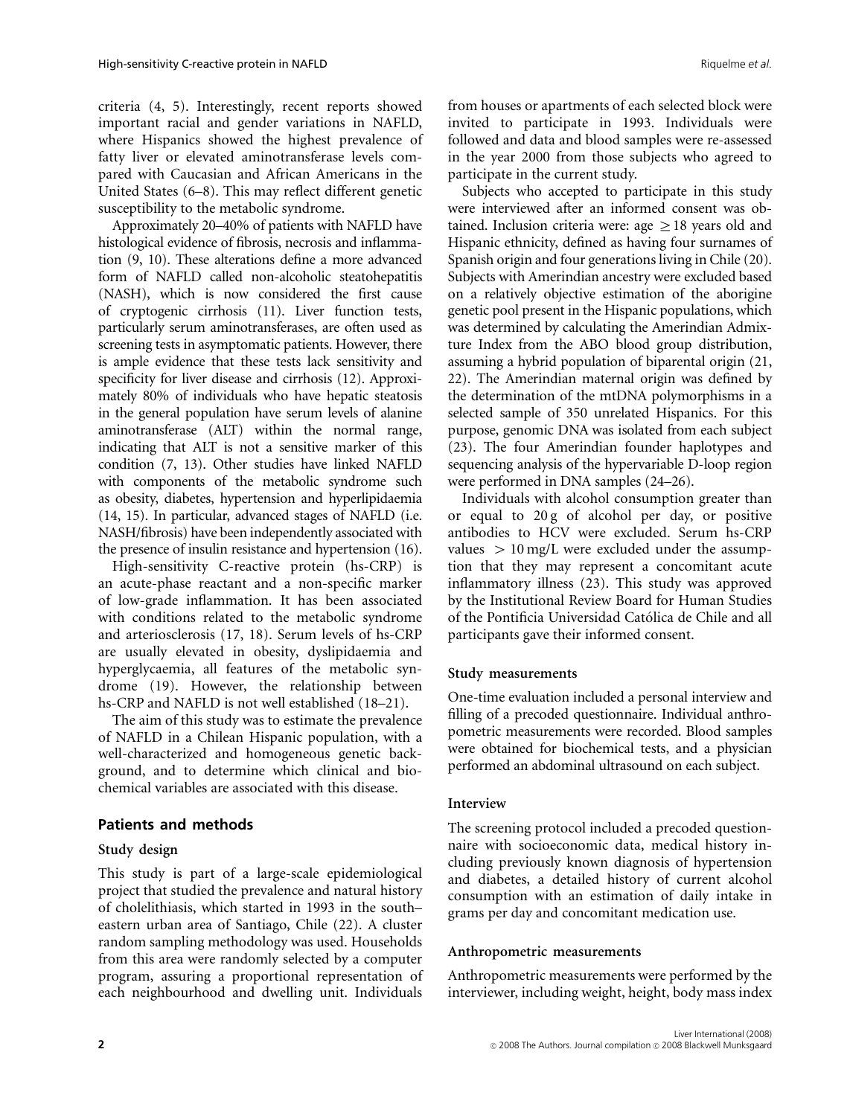criteria (4, 5). Interestingly, recent reports showed important racial and gender variations in NAFLD, where Hispanics showed the highest prevalence of fatty liver or elevated aminotransferase levels compared with Caucasian and African Americans in the United States (6–8). This may reflect different genetic susceptibility to the metabolic syndrome.

Approximately 20–40% of patients with NAFLD have histological evidence of fibrosis, necrosis and inflammation (9, 10). These alterations define a more advanced form of NAFLD called non-alcoholic steatohepatitis (NASH), which is now considered the first cause of cryptogenic cirrhosis (11). Liver function tests, particularly serum aminotransferases, are often used as screening tests in asymptomatic patients. However, there is ample evidence that these tests lack sensitivity and specificity for liver disease and cirrhosis (12). Approximately 80% of individuals who have hepatic steatosis in the general population have serum levels of alanine aminotransferase (ALT) within the normal range, indicating that ALT is not a sensitive marker of this condition (7, 13). Other studies have linked NAFLD with components of the metabolic syndrome such as obesity, diabetes, hypertension and hyperlipidaemia (14, 15). In particular, advanced stages of NAFLD (i.e. NASH/fibrosis) have been independently associated with the presence of insulin resistance and hypertension (16).

High-sensitivity C-reactive protein (hs-CRP) is an acute-phase reactant and a non-specific marker of low-grade inflammation. It has been associated with conditions related to the metabolic syndrome and arteriosclerosis (17, 18). Serum levels of hs-CRP are usually elevated in obesity, dyslipidaemia and hyperglycaemia, all features of the metabolic syndrome (19). However, the relationship between hs-CRP and NAFLD is not well established (18–21).

The aim of this study was to estimate the prevalence of NAFLD in a Chilean Hispanic population, with a well-characterized and homogeneous genetic background, and to determine which clinical and biochemical variables are associated with this disease.

# Patients and methods

# Study design

This study is part of a large-scale epidemiological project that studied the prevalence and natural history of cholelithiasis, which started in 1993 in the south– eastern urban area of Santiago, Chile (22). A cluster random sampling methodology was used. Households from this area were randomly selected by a computer program, assuring a proportional representation of each neighbourhood and dwelling unit. Individuals

from houses or apartments of each selected block were invited to participate in 1993. Individuals were followed and data and blood samples were re-assessed in the year 2000 from those subjects who agreed to participate in the current study.

Subjects who accepted to participate in this study were interviewed after an informed consent was obtained. Inclusion criteria were: age  $> 18$  years old and Hispanic ethnicity, defined as having four surnames of Spanish origin and four generations living in Chile (20). Subjects with Amerindian ancestry were excluded based on a relatively objective estimation of the aborigine genetic pool present in the Hispanic populations, which was determined by calculating the Amerindian Admixture Index from the ABO blood group distribution, assuming a hybrid population of biparental origin (21, 22). The Amerindian maternal origin was defined by the determination of the mtDNA polymorphisms in a selected sample of 350 unrelated Hispanics. For this purpose, genomic DNA was isolated from each subject (23). The four Amerindian founder haplotypes and sequencing analysis of the hypervariable D-loop region were performed in DNA samples (24–26).

Individuals with alcohol consumption greater than or equal to 20 g of alcohol per day, or positive antibodies to HCV were excluded. Serum hs-CRP values  $> 10$  mg/L were excluded under the assumption that they may represent a concomitant acute inflammatory illness (23). This study was approved by the Institutional Review Board for Human Studies of the Pontificia Universidad Catolica de Chile and all ´ participants gave their informed consent.

# Study measurements

One-time evaluation included a personal interview and filling of a precoded questionnaire. Individual anthropometric measurements were recorded. Blood samples were obtained for biochemical tests, and a physician performed an abdominal ultrasound on each subject.

### Interview

The screening protocol included a precoded questionnaire with socioeconomic data, medical history including previously known diagnosis of hypertension and diabetes, a detailed history of current alcohol consumption with an estimation of daily intake in grams per day and concomitant medication use.

# Anthropometric measurements

Anthropometric measurements were performed by the interviewer, including weight, height, body mass index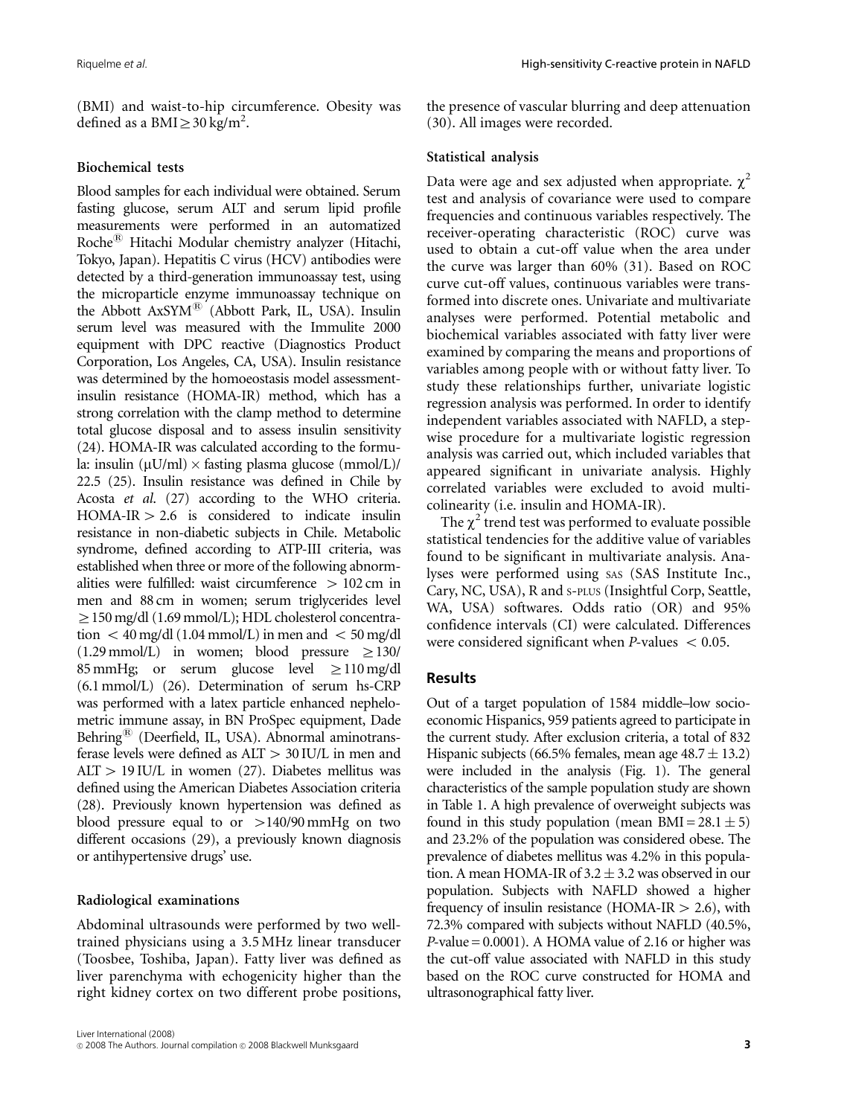(BMI) and waist-to-hip circumference. Obesity was defined as a BMI $\geq$ 30 kg/m<sup>2</sup>.

### Biochemical tests

Blood samples for each individual were obtained. Serum fasting glucose, serum ALT and serum lipid profile measurements were performed in an automatized Roche<sup>®</sup> Hitachi Modular chemistry analyzer (Hitachi, Tokyo, Japan). Hepatitis C virus (HCV) antibodies were detected by a third-generation immunoassay test, using the microparticle enzyme immunoassay technique on the Abbott AxSYM® (Abbott Park, IL, USA). Insulin serum level was measured with the Immulite 2000 equipment with DPC reactive (Diagnostics Product Corporation, Los Angeles, CA, USA). Insulin resistance was determined by the homoeostasis model assessmentinsulin resistance (HOMA-IR) method, which has a strong correlation with the clamp method to determine total glucose disposal and to assess insulin sensitivity (24). HOMA-IR was calculated according to the formula: insulin ( $\mu$ U/ml)  $\times$  fasting plasma glucose (mmol/L)/ 22.5 (25). Insulin resistance was defined in Chile by Acosta et al. (27) according to the WHO criteria.  $HOMA-IR > 2.6$  is considered to indicate insulin resistance in non-diabetic subjects in Chile. Metabolic syndrome, defined according to ATP-III criteria, was established when three or more of the following abnormalities were fulfilled: waist circumference  $> 102$  cm in men and 88 cm in women; serum triglycerides level  $\geq$  150 mg/dl (1.69 mmol/L); HDL cholesterol concentration  $\langle 40 \text{ mg/dl} (1.04 \text{ mmol/L})$  in men and  $\langle 50 \text{ mg/dl} \rangle$  $(1.29 \text{ mmol/L})$  in women; blood pressure  $\geq 130/$ 85 mmHg; or serum glucose level  $\geq$  110 mg/dl (6.1 mmol/L) (26). Determination of serum hs-CRP was performed with a latex particle enhanced nephelometric immune assay, in BN ProSpec equipment, Dade Behring $^{(8)}$  (Deerfield, IL, USA). Abnormal aminotransferase levels were defined as  $ALT > 30$  IU/L in men and  $ALT > 19$  IU/L in women (27). Diabetes mellitus was defined using the American Diabetes Association criteria (28). Previously known hypertension was defined as blood pressure equal to or  $>140/90$  mmHg on two different occasions (29), a previously known diagnosis or antihypertensive drugs' use.

### Radiological examinations

Abdominal ultrasounds were performed by two welltrained physicians using a 3.5 MHz linear transducer (Toosbee, Toshiba, Japan). Fatty liver was defined as liver parenchyma with echogenicity higher than the right kidney cortex on two different probe positions,

the presence of vascular blurring and deep attenuation (30). All images were recorded.

## Statistical analysis

Data were age and sex adjusted when appropriate.  $\gamma^2$ test and analysis of covariance were used to compare frequencies and continuous variables respectively. The receiver-operating characteristic (ROC) curve was used to obtain a cut-off value when the area under the curve was larger than 60% (31). Based on ROC curve cut-off values, continuous variables were transformed into discrete ones. Univariate and multivariate analyses were performed. Potential metabolic and biochemical variables associated with fatty liver were examined by comparing the means and proportions of variables among people with or without fatty liver. To study these relationships further, univariate logistic regression analysis was performed. In order to identify independent variables associated with NAFLD, a stepwise procedure for a multivariate logistic regression analysis was carried out, which included variables that appeared significant in univariate analysis. Highly correlated variables were excluded to avoid multicolinearity (i.e. insulin and HOMA-IR).

The  $\chi^2$  trend test was performed to evaluate possible statistical tendencies for the additive value of variables found to be significant in multivariate analysis. Analyses were performed using SAS (SAS Institute Inc., Cary, NC, USA), R and S-PLUS (Insightful Corp, Seattle, WA, USA) softwares. Odds ratio (OR) and 95% confidence intervals (CI) were calculated. Differences were considered significant when  $P$ -values  $< 0.05$ .

# Results

Out of a target population of 1584 middle–low socioeconomic Hispanics, 959 patients agreed to participate in the current study. After exclusion criteria, a total of 832 Hispanic subjects (66.5% females, mean age  $48.7 \pm 13.2$ ) were included in the analysis (Fig. 1). The general characteristics of the sample population study are shown in Table 1. A high prevalence of overweight subjects was found in this study population (mean  $BMI = 28.1 \pm 5$ ) and 23.2% of the population was considered obese. The prevalence of diabetes mellitus was 4.2% in this population. A mean HOMA-IR of  $3.2 \pm 3.2$  was observed in our population. Subjects with NAFLD showed a higher frequency of insulin resistance (HOMA-IR  $> 2.6$ ), with 72.3% compared with subjects without NAFLD (40.5%,  $P$ -value = 0.0001). A HOMA value of 2.16 or higher was the cut-off value associated with NAFLD in this study based on the ROC curve constructed for HOMA and ultrasonographical fatty liver.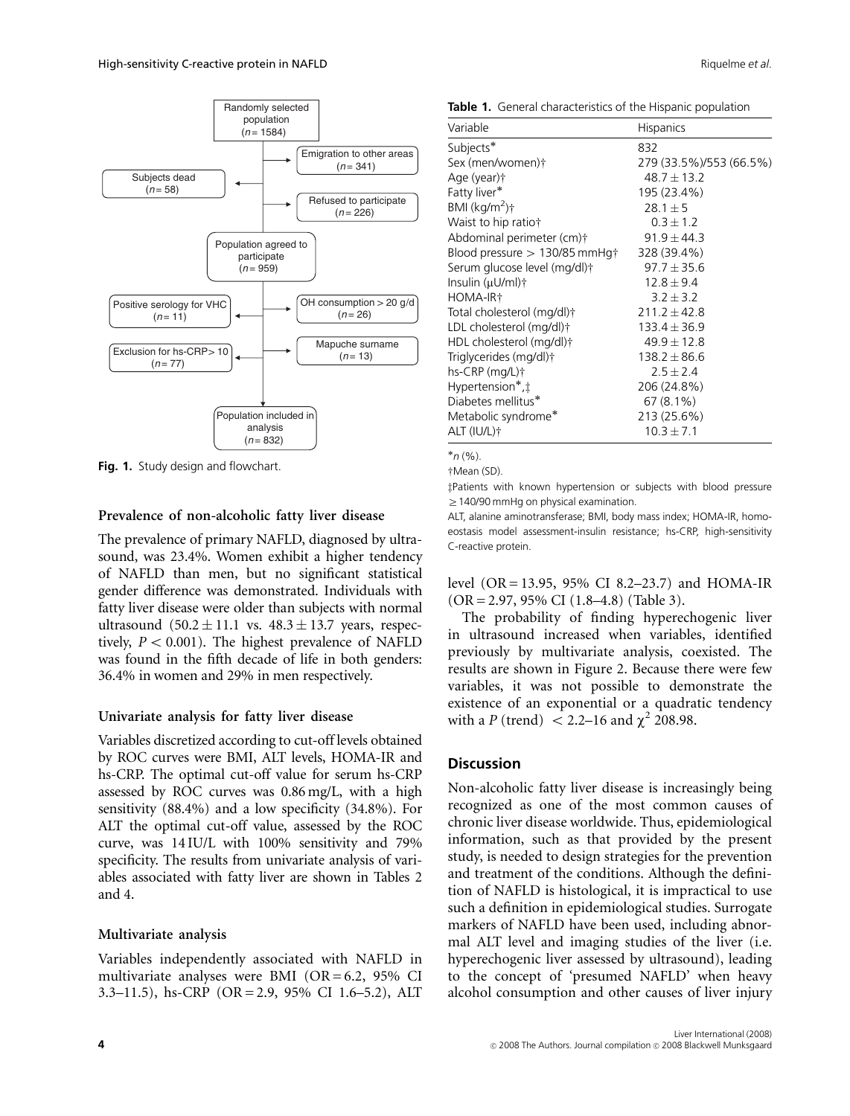

Fig. 1. Study design and flowchart.

#### Prevalence of non-alcoholic fatty liver disease

The prevalence of primary NAFLD, diagnosed by ultrasound, was 23.4%. Women exhibit a higher tendency of NAFLD than men, but no significant statistical gender difference was demonstrated. Individuals with fatty liver disease were older than subjects with normal ultrasound  $(50.2 \pm 11.1 \text{ vs. } 48.3 \pm 13.7 \text{ years}, \text{ respec-}$ tively,  $P < 0.001$ ). The highest prevalence of NAFLD was found in the fifth decade of life in both genders: 36.4% in women and 29% in men respectively.

#### Univariate analysis for fatty liver disease

Variables discretized according to cut-off levels obtained by ROC curves were BMI, ALT levels, HOMA-IR and hs-CRP. The optimal cut-off value for serum hs-CRP assessed by ROC curves was 0.86 mg/L, with a high sensitivity (88.4%) and a low specificity (34.8%). For ALT the optimal cut-off value, assessed by the ROC curve, was 14 IU/L with 100% sensitivity and 79% specificity. The results from univariate analysis of variables associated with fatty liver are shown in Tables 2 and 4.

#### Multivariate analysis

Variables independently associated with NAFLD in multivariate analyses were BMI ( $OR = 6.2$ , 95% CI 3.3–11.5), hs-CRP (OR = 2.9, 95% CI 1.6–5.2), ALT

| Variable                                   | <b>Hispanics</b>        |
|--------------------------------------------|-------------------------|
| Subjects*                                  | 832                     |
| Sex (men/women)†                           | 279 (33.5%)/553 (66.5%) |
| Age (year)†                                | $48.7 \pm 13.2$         |
| Fatty liver*                               | 195 (23.4%)             |
| BMI $(kq/m^2)$ †                           | $28.1 \pm 5$            |
| Waist to hip ratio†                        | $0.3 \pm 1.2$           |
| Abdominal perimeter (cm)†                  | $91.9 \pm 44.3$         |
| Blood pressure $>130/85$ mmHg <sup>+</sup> | 328 (39.4%)             |
| Serum glucose level (mg/dl)†               | $97.7 + 35.6$           |
| Insulin (μU/ml)†                           | $12.8 \pm 9.4$          |
| HOMA-IR†                                   | $3.2 \pm 3.2$           |
| Total cholesterol (mg/dl)†                 | $211.2 + 42.8$          |
| LDL cholesterol (mg/dl)†                   | $133.4 \pm 36.9$        |
| HDL cholesterol (mg/dl)†                   | $49.9 \pm 12.8$         |
| Triglycerides (mg/dl)†                     | $138.2 + 86.6$          |
| hs-CRP (mg/L)†                             | $2.5 \pm 2.4$           |
| Hypertension*,‡                            | 206 (24.8%)             |
| Diabetes mellitus*                         | $67(8.1\%)$             |
| Metabolic syndrome*                        | 213 (25.6%)             |
| ALT (IU/L)+                                | $10.3 \pm 7.1$          |
|                                            |                         |

 $n (%)$ 

+Mean (SD).

‡Patients with known hypertension or subjects with blood pressure  $\geq$  140/90 mmHg on physical examination.

ALT, alanine aminotransferase; BMI, body mass index; HOMA-IR, homoeostasis model assessment-insulin resistance; hs-CRP, high-sensitivity C-reactive protein.

level (OR = 13.95, 95% CI 8.2–23.7) and HOMA-IR (OR = 2.97, 95% CI (1.8–4.8) (Table 3).

The probability of finding hyperechogenic liver in ultrasound increased when variables, identified previously by multivariate analysis, coexisted. The results are shown in Figure 2. Because there were few variables, it was not possible to demonstrate the existence of an exponential or a quadratic tendency with a P (trend)  $< 2.2-16$  and  $\chi^2$  208.98.

# **Discussion**

Non-alcoholic fatty liver disease is increasingly being recognized as one of the most common causes of chronic liver disease worldwide. Thus, epidemiological information, such as that provided by the present study, is needed to design strategies for the prevention and treatment of the conditions. Although the definition of NAFLD is histological, it is impractical to use such a definition in epidemiological studies. Surrogate markers of NAFLD have been used, including abnormal ALT level and imaging studies of the liver (i.e. hyperechogenic liver assessed by ultrasound), leading to the concept of 'presumed NAFLD' when heavy alcohol consumption and other causes of liver injury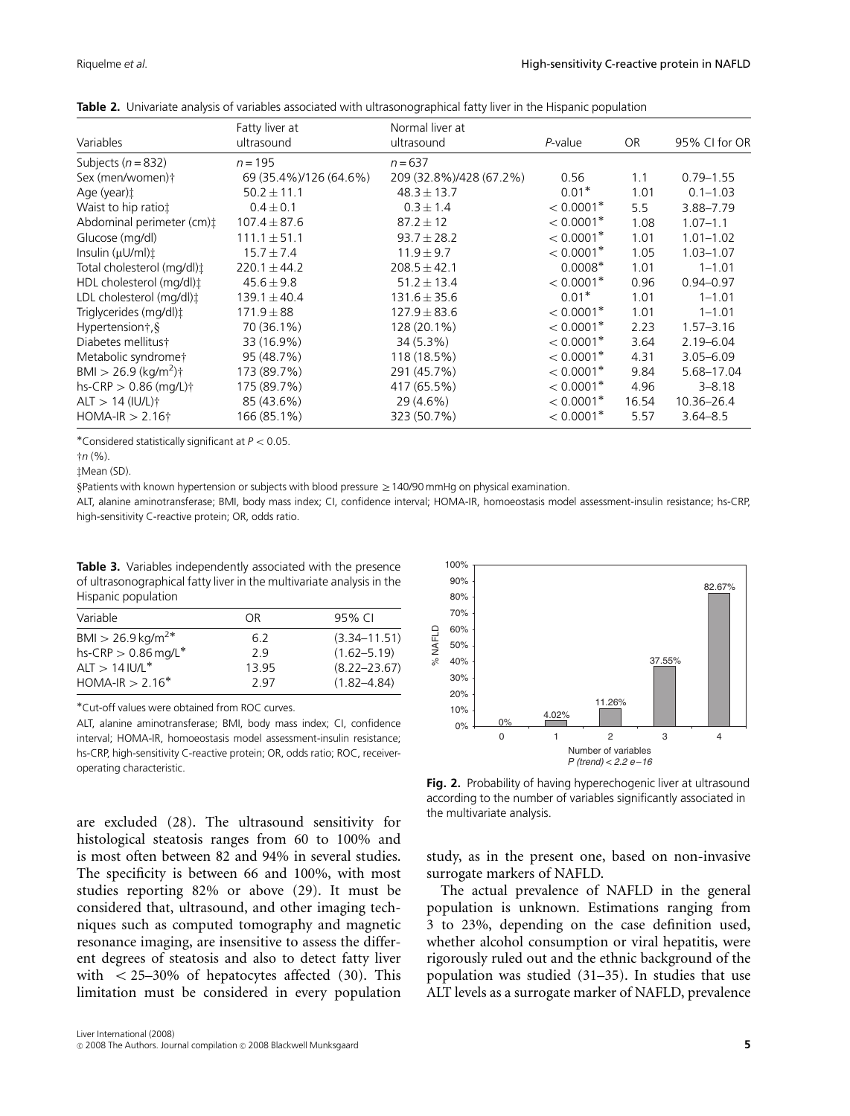|                                       | Fatty liver at<br>ultrasound | Normal liver at         |                         | <b>OR</b> | 95% CI for OR |
|---------------------------------------|------------------------------|-------------------------|-------------------------|-----------|---------------|
| Variables                             |                              | ultrasound              | P-value                 |           |               |
| Subjects ( $n = 832$ )                | $n = 195$                    | $n = 637$               |                         |           |               |
| Sex (men/women)†                      | 69 (35.4%)/126 (64.6%)       | 209 (32.8%)/428 (67.2%) | 0.56                    | 1.1       | $0.79 - 1.55$ |
| Age (year):                           | $50.2 \pm 11.1$              | $48.3 \pm 13.7$         | $0.01*$                 | 1.01      | $0.1 - 1.03$  |
| Waist to hip ratiot                   | $0.4 \pm 0.1$                | $0.3 \pm 1.4$           | $< 0.0001$ <sup>*</sup> | 5.5       | 3.88-7.79     |
| Abdominal perimeter (cm) <sup>+</sup> | $107.4 \pm 87.6$             | $87.2 \pm 12$           | $< 0.0001$ <sup>*</sup> | 1.08      | $1.07 - 1.1$  |
| Glucose (mg/dl)                       | $111.1 \pm 51.1$             | $93.7 \pm 28.2$         | $< 0.0001$ <sup>*</sup> | 1.01      | $1.01 - 1.02$ |
| Insulin (µU/ml)                       | $15.7 \pm 7.4$               | $11.9 \pm 9.7$          | $< 0.0001$ <sup>*</sup> | 1.05      | $1.03 - 1.07$ |
| Total cholesterol (mg/dl):            | $220.1 \pm 44.2$             | $208.5 \pm 42.1$        | $0.0008*$               | 1.01      | $1 - 1.01$    |
| HDL cholesterol (mg/dl)‡              | $45.6 \pm 9.8$               | $51.2 \pm 13.4$         | $< 0.0001$ <sup>*</sup> | 0.96      | $0.94 - 0.97$ |
| LDL cholesterol (mg/dl)‡              | $139.1 \pm 40.4$             | $131.6 \pm 35.6$        | $0.01*$                 | 1.01      | $1 - 1.01$    |
| Triglycerides (mg/dl)‡                | $171.9 \pm 88$               | $127.9 \pm 83.6$        | $< 0.0001$ <sup>*</sup> | 1.01      | $1 - 1.01$    |
| Hypertension†, §                      | 70 (36.1%)                   | 128 (20.1%)             | $< 0.0001$ <sup>*</sup> | 2.23      | $1.57 - 3.16$ |
| Diabetes mellitus†                    | 33 (16.9%)                   | 34 (5.3%)               | $< 0.0001$ *            | 3.64      | $2.19 - 6.04$ |
| Metabolic syndrome†                   | 95 (48.7%)                   | 118 (18.5%)             | $< 0.0001$ <sup>*</sup> | 4.31      | $3.05 - 6.09$ |
| BMI > 26.9 (kg/m <sup>2</sup> )†      | 173 (89.7%)                  | 291 (45.7%)             | $< 0.0001$ <sup>*</sup> | 9.84      | 5.68-17.04    |
| $hs-CRP > 0.86$ (mg/L) $\dagger$      | 175 (89.7%)                  | 417 (65.5%)             | $< 0.0001$ <sup>*</sup> | 4.96      | $3 - 8.18$    |
| $ALT > 14 (IUL)$ †                    | 85 (43.6%)                   | 29 (4.6%)               | $< 0.0001$ <sup>*</sup> | 16.54     | 10.36-26.4    |
| $HOMA-IR > 2.16\dagger$               | 166 (85.1%)                  | 323 (50.7%)             | $< 0.0001$ <sup>*</sup> | 5.57      | $3.64 - 8.5$  |

Table 2. Univariate analysis of variables associated with ultrasonographical fatty liver in the Hispanic population

\*Considered statistically significant at  $P < 0.05$ .

 $\n <sup>†</sup>n (%).$ 

zMean (SD).

§Patients with known hypertension or subjects with blood pressure ≥140/90 mmHg on physical examination.

ALT, alanine aminotransferase; BMI, body mass index; CI, confidence interval; HOMA-IR, homoeostasis model assessment-insulin resistance; hs-CRP, high-sensitivity C-reactive protein; OR, odds ratio.

Table 3. Variables independently associated with the presence of ultrasonographical fatty liver in the multivariate analysis in the Hispanic population

| Variable                     | ΩR    | 95% CI           |
|------------------------------|-------|------------------|
| BMI > 26.9 kg/m <sup>2</sup> | 6.2   | $(3.34 - 11.51)$ |
| hs-CRP $> 0.86$ mg/L*        | 29    | $(1.62 - 5.19)$  |
| $ALT > 14 IUL*$              | 13.95 | $(8.22 - 23.67)$ |
| $HOMA-IR > 2.16*$            | 297   | $(1.82 - 4.84)$  |

Cut-off values were obtained from ROC curves.

ALT, alanine aminotransferase; BMI, body mass index; CI, confidence interval; HOMA-IR, homoeostasis model assessment-insulin resistance; hs-CRP, high-sensitivity C-reactive protein; OR, odds ratio; ROC, receiveroperating characteristic.

are excluded (28). The ultrasound sensitivity for histological steatosis ranges from 60 to 100% and is most often between 82 and 94% in several studies. The specificity is between 66 and 100%, with most studies reporting 82% or above (29). It must be considered that, ultrasound, and other imaging techniques such as computed tomography and magnetic resonance imaging, are insensitive to assess the different degrees of steatosis and also to detect fatty liver with  $\langle 25-30\% \rangle$  of hepatocytes affected (30). This limitation must be considered in every population



Fig. 2. Probability of having hyperechogenic liver at ultrasound according to the number of variables significantly associated in the multivariate analysis.

study, as in the present one, based on non-invasive surrogate markers of NAFLD.

The actual prevalence of NAFLD in the general population is unknown. Estimations ranging from 3 to 23%, depending on the case definition used, whether alcohol consumption or viral hepatitis, were rigorously ruled out and the ethnic background of the population was studied (31–35). In studies that use ALT levels as a surrogate marker of NAFLD, prevalence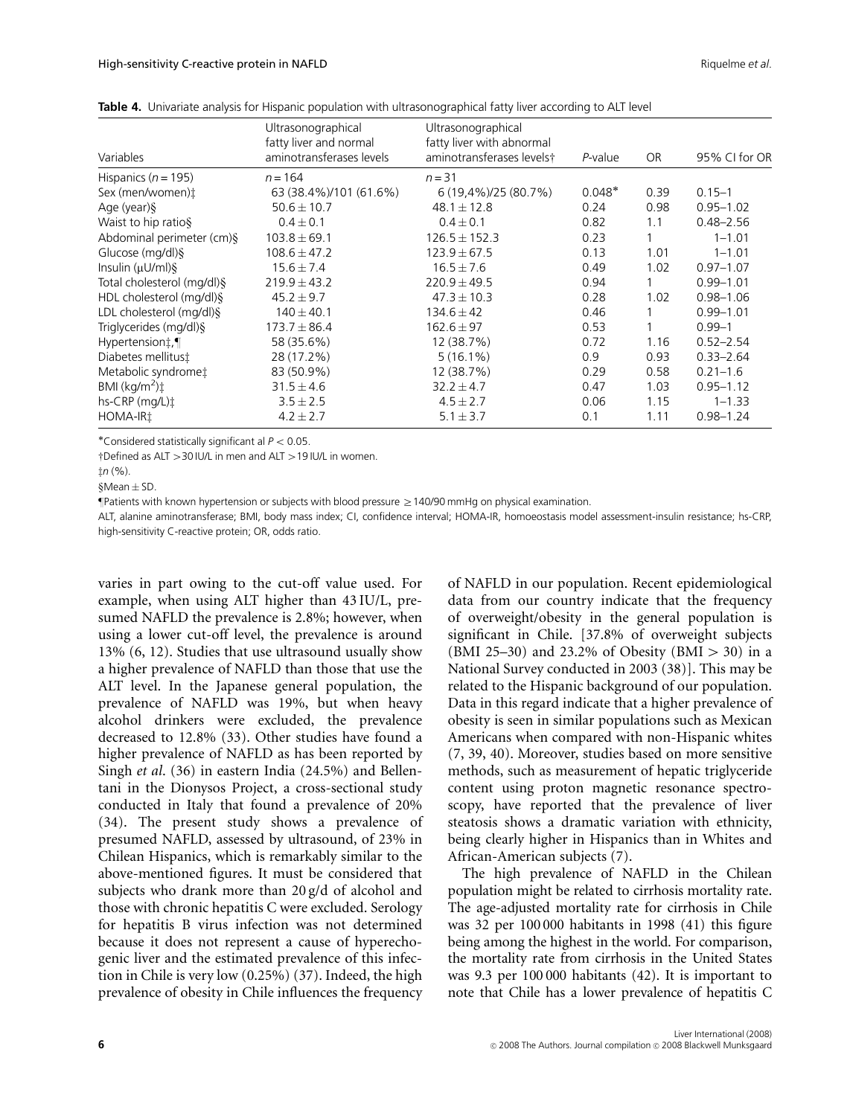|                                                | Ultrasonographical       | Ultrasonographical         |          |           |               |
|------------------------------------------------|--------------------------|----------------------------|----------|-----------|---------------|
|                                                | fatty liver and normal   | fatty liver with abnormal  |          |           |               |
| Variables                                      | aminotransferases levels | aminotransferases levels†  | P-value  | <b>OR</b> | 95% CI for OR |
| Hispanics ( $n = 195$ )                        | $n = 164$                | $n = 31$                   |          |           |               |
| Sex (men/women)t                               | 63 (38.4%)/101 (61.6%)   | $6(19,4\%)$ /25 $(80.7\%)$ | $0.048*$ | 0.39      | $0.15 - 1$    |
| Age (year)§                                    | $50.6 \pm 10.7$          | $48.1 \pm 12.8$            | 0.24     | 0.98      | $0.95 - 1.02$ |
| Waist to hip ratios                            | $0.4 \pm 0.1$            | $0.4 \pm 0.1$              | 0.82     | 1.1       | $0.48 - 2.56$ |
| Abdominal perimeter (cm)§                      | $103.8 \pm 69.1$         | $126.5 \pm 152.3$          | 0.23     |           | $1 - 1.01$    |
| Glucose (mg/dl) §                              | $108.6 \pm 47.2$         | $123.9 \pm 67.5$           | 0.13     | 1.01      | $1 - 1.01$    |
| Insulin $(\mu U/ml)\$                          | $15.6 \pm 7.4$           | $16.5 \pm 7.6$             | 0.49     | 1.02      | $0.97 - 1.07$ |
| Total cholesterol (mg/dl) §                    | $219.9 \pm 43.2$         | $220.9 \pm 49.5$           | 0.94     |           | $0.99 - 1.01$ |
| HDL cholesterol (mg/dl)§                       | $45.2 \pm 9.7$           | $47.3 \pm 10.3$            | 0.28     | 1.02      | $0.98 - 1.06$ |
| LDL cholesterol (mg/dl) §                      | $140 \pm 40.1$           | $134.6 \pm 42$             | 0.46     |           | $0.99 - 1.01$ |
| Triglycerides (mg/dl)§                         | $173.7 \pm 86.4$         | $162.6 \pm 97$             | 0.53     |           | $0.99 - 1$    |
| Hypertension‡,¶                                | 58 (35.6%)               | 12 (38.7%)                 | 0.72     | 1.16      | $0.52 - 2.54$ |
| Diabetes mellitust                             | 28 (17.2%)               | $5(16.1\%)$                | 0.9      | 0.93      | $0.33 - 2.64$ |
| Metabolic syndrome‡                            | 83 (50.9%)               | 12 (38.7%)                 | 0.29     | 0.58      | $0.21 - 1.6$  |
| BMI $(kq/m2)$ <sup><math>\ddagger</math></sup> | $31.5 \pm 4.6$           | $32.2 \pm 4.7$             | 0.47     | 1.03      | $0.95 - 1.12$ |
| $hs-CRP$ (mg/L) $\ddagger$                     | $3.5 \pm 2.5$            | $4.5 \pm 2.7$              | 0.06     | 1.15      | $1 - 1.33$    |
| HOMA-IR1                                       | $4.2 \pm 2.7$            | $5.1 \pm 3.7$              | 0.1      | 1.11      | $0.98 - 1.24$ |

Table 4. Univariate analysis for Hispanic population with ultrasonographical fatty liver according to ALT level

\*Considered statistically significant al  $P < 0.05$ .

†Defined as ALT > 30 IU/L in men and ALT > 19 IU/L in women.

 $tn(%)$ 

 $$Mean  $\pm$  SD.$ 

 $\P$ Patients with known hypertension or subjects with blood pressure  $\geq$  140/90 mmHg on physical examination.

ALT, alanine aminotransferase; BMI, body mass index; CI, confidence interval; HOMA-IR, homoeostasis model assessment-insulin resistance; hs-CRP, high-sensitivity C-reactive protein; OR, odds ratio.

varies in part owing to the cut-off value used. For example, when using ALT higher than 43 IU/L, presumed NAFLD the prevalence is 2.8%; however, when using a lower cut-off level, the prevalence is around 13% (6, 12). Studies that use ultrasound usually show a higher prevalence of NAFLD than those that use the ALT level. In the Japanese general population, the prevalence of NAFLD was 19%, but when heavy alcohol drinkers were excluded, the prevalence decreased to 12.8% (33). Other studies have found a higher prevalence of NAFLD as has been reported by Singh et al. (36) in eastern India (24.5%) and Bellentani in the Dionysos Project, a cross-sectional study conducted in Italy that found a prevalence of 20% (34). The present study shows a prevalence of presumed NAFLD, assessed by ultrasound, of 23% in Chilean Hispanics, which is remarkably similar to the above-mentioned figures. It must be considered that subjects who drank more than 20 g/d of alcohol and those with chronic hepatitis C were excluded. Serology for hepatitis B virus infection was not determined because it does not represent a cause of hyperechogenic liver and the estimated prevalence of this infection in Chile is very low (0.25%) (37). Indeed, the high prevalence of obesity in Chile influences the frequency

of NAFLD in our population. Recent epidemiological data from our country indicate that the frequency of overweight/obesity in the general population is significant in Chile. [37.8% of overweight subjects (BMI 25–30) and 23.2% of Obesity (BMI  $> 30$ ) in a National Survey conducted in 2003 (38)]. This may be related to the Hispanic background of our population. Data in this regard indicate that a higher prevalence of obesity is seen in similar populations such as Mexican Americans when compared with non-Hispanic whites (7, 39, 40). Moreover, studies based on more sensitive methods, such as measurement of hepatic triglyceride content using proton magnetic resonance spectroscopy, have reported that the prevalence of liver steatosis shows a dramatic variation with ethnicity, being clearly higher in Hispanics than in Whites and African-American subjects (7).

The high prevalence of NAFLD in the Chilean population might be related to cirrhosis mortality rate. The age-adjusted mortality rate for cirrhosis in Chile was 32 per 100 000 habitants in 1998 (41) this figure being among the highest in the world. For comparison, the mortality rate from cirrhosis in the United States was 9.3 per 100 000 habitants (42). It is important to note that Chile has a lower prevalence of hepatitis C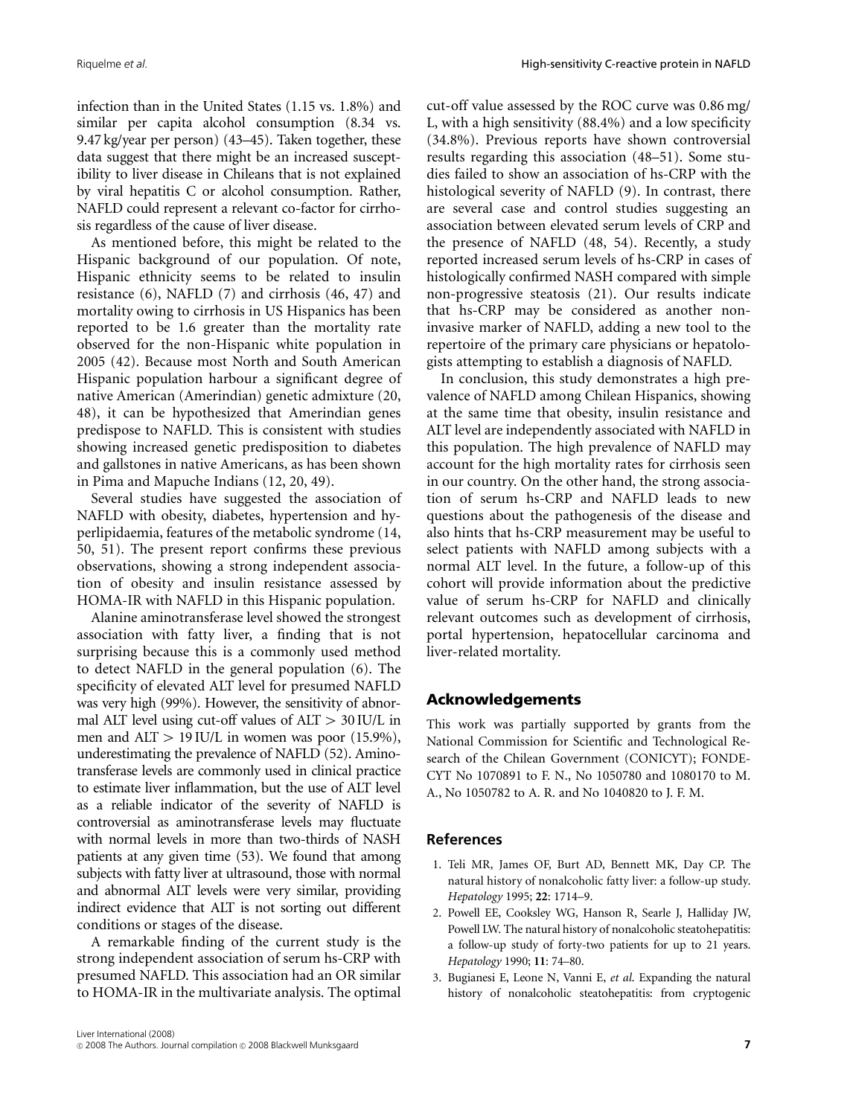infection than in the United States (1.15 vs. 1.8%) and similar per capita alcohol consumption (8.34 vs. 9.47 kg/year per person) (43–45). Taken together, these data suggest that there might be an increased susceptibility to liver disease in Chileans that is not explained by viral hepatitis C or alcohol consumption. Rather, NAFLD could represent a relevant co-factor for cirrhosis regardless of the cause of liver disease.

As mentioned before, this might be related to the Hispanic background of our population. Of note, Hispanic ethnicity seems to be related to insulin resistance (6), NAFLD (7) and cirrhosis (46, 47) and mortality owing to cirrhosis in US Hispanics has been reported to be 1.6 greater than the mortality rate observed for the non-Hispanic white population in 2005 (42). Because most North and South American Hispanic population harbour a significant degree of native American (Amerindian) genetic admixture (20, 48), it can be hypothesized that Amerindian genes predispose to NAFLD. This is consistent with studies showing increased genetic predisposition to diabetes and gallstones in native Americans, as has been shown in Pima and Mapuche Indians (12, 20, 49).

Several studies have suggested the association of NAFLD with obesity, diabetes, hypertension and hyperlipidaemia, features of the metabolic syndrome (14, 50, 51). The present report confirms these previous observations, showing a strong independent association of obesity and insulin resistance assessed by HOMA-IR with NAFLD in this Hispanic population.

Alanine aminotransferase level showed the strongest association with fatty liver, a finding that is not surprising because this is a commonly used method to detect NAFLD in the general population (6). The specificity of elevated ALT level for presumed NAFLD was very high (99%). However, the sensitivity of abnormal ALT level using cut-off values of  $ALT > 30$  IU/L in men and ALT  $>$  19 IU/L in women was poor (15.9%), underestimating the prevalence of NAFLD (52). Aminotransferase levels are commonly used in clinical practice to estimate liver inflammation, but the use of ALT level as a reliable indicator of the severity of NAFLD is controversial as aminotransferase levels may fluctuate with normal levels in more than two-thirds of NASH patients at any given time (53). We found that among subjects with fatty liver at ultrasound, those with normal and abnormal ALT levels were very similar, providing indirect evidence that ALT is not sorting out different conditions or stages of the disease.

A remarkable finding of the current study is the strong independent association of serum hs-CRP with presumed NAFLD. This association had an OR similar to HOMA-IR in the multivariate analysis. The optimal

cut-off value assessed by the ROC curve was 0.86 mg/ L, with a high sensitivity (88.4%) and a low specificity (34.8%). Previous reports have shown controversial results regarding this association (48–51). Some studies failed to show an association of hs-CRP with the histological severity of NAFLD (9). In contrast, there are several case and control studies suggesting an association between elevated serum levels of CRP and the presence of NAFLD (48, 54). Recently, a study reported increased serum levels of hs-CRP in cases of histologically confirmed NASH compared with simple non-progressive steatosis (21). Our results indicate that hs-CRP may be considered as another noninvasive marker of NAFLD, adding a new tool to the repertoire of the primary care physicians or hepatologists attempting to establish a diagnosis of NAFLD.

In conclusion, this study demonstrates a high prevalence of NAFLD among Chilean Hispanics, showing at the same time that obesity, insulin resistance and ALT level are independently associated with NAFLD in this population. The high prevalence of NAFLD may account for the high mortality rates for cirrhosis seen in our country. On the other hand, the strong association of serum hs-CRP and NAFLD leads to new questions about the pathogenesis of the disease and also hints that hs-CRP measurement may be useful to select patients with NAFLD among subjects with a normal ALT level. In the future, a follow-up of this cohort will provide information about the predictive value of serum hs-CRP for NAFLD and clinically relevant outcomes such as development of cirrhosis, portal hypertension, hepatocellular carcinoma and liver-related mortality.

# Acknowledgements

This work was partially supported by grants from the National Commission for Scientific and Technological Research of the Chilean Government (CONICYT); FONDE-CYT No 1070891 to F. N., No 1050780 and 1080170 to M. A., No 1050782 to A. R. and No 1040820 to J. F. M.

### References

- 1. Teli MR, James OF, Burt AD, Bennett MK, Day CP. The natural history of nonalcoholic fatty liver: a follow-up study. Hepatology 1995; 22: 1714–9.
- 2. Powell EE, Cooksley WG, Hanson R, Searle J, Halliday JW, Powell LW. The natural history of nonalcoholic steatohepatitis: a follow-up study of forty-two patients for up to 21 years. Hepatology 1990; 11: 74–80.
- 3. Bugianesi E, Leone N, Vanni E, et al. Expanding the natural history of nonalcoholic steatohepatitis: from cryptogenic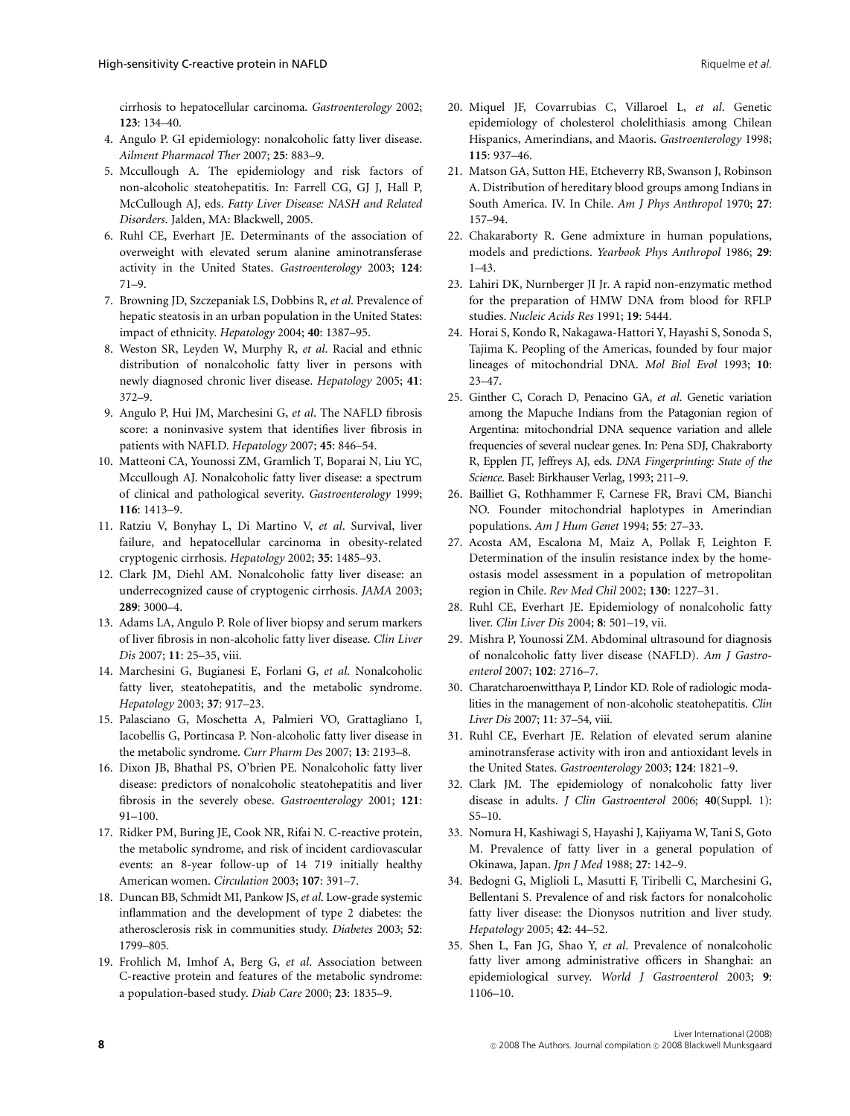cirrhosis to hepatocellular carcinoma. Gastroenterology 2002; 123: 134–40.

- 4. Angulo P. GI epidemiology: nonalcoholic fatty liver disease. Ailment Pharmacol Ther 2007; 25: 883–9.
- 5. Mccullough A. The epidemiology and risk factors of non-alcoholic steatohepatitis. In: Farrell CG, GJ J, Hall P, McCullough AJ, eds. Fatty Liver Disease: NASH and Related Disorders. Jalden, MA: Blackwell, 2005.
- 6. Ruhl CE, Everhart JE. Determinants of the association of overweight with elevated serum alanine aminotransferase activity in the United States. Gastroenterology 2003; 124: 71–9.
- 7. Browning JD, Szczepaniak LS, Dobbins R, et al. Prevalence of hepatic steatosis in an urban population in the United States: impact of ethnicity. Hepatology 2004; 40: 1387–95.
- 8. Weston SR, Leyden W, Murphy R, et al. Racial and ethnic distribution of nonalcoholic fatty liver in persons with newly diagnosed chronic liver disease. Hepatology 2005; 41: 372–9.
- 9. Angulo P, Hui JM, Marchesini G, et al. The NAFLD fibrosis score: a noninvasive system that identifies liver fibrosis in patients with NAFLD. Hepatology 2007; 45: 846–54.
- 10. Matteoni CA, Younossi ZM, Gramlich T, Boparai N, Liu YC, Mccullough AJ. Nonalcoholic fatty liver disease: a spectrum of clinical and pathological severity. Gastroenterology 1999; 116: 1413–9.
- 11. Ratziu V, Bonyhay L, Di Martino V, et al. Survival, liver failure, and hepatocellular carcinoma in obesity-related cryptogenic cirrhosis. Hepatology 2002; 35: 1485–93.
- 12. Clark JM, Diehl AM. Nonalcoholic fatty liver disease: an underrecognized cause of cryptogenic cirrhosis. JAMA 2003; 289: 3000–4.
- 13. Adams LA, Angulo P. Role of liver biopsy and serum markers of liver fibrosis in non-alcoholic fatty liver disease. Clin Liver Dis 2007; 11: 25–35, viii.
- 14. Marchesini G, Bugianesi E, Forlani G, et al. Nonalcoholic fatty liver, steatohepatitis, and the metabolic syndrome. Hepatology 2003; 37: 917–23.
- 15. Palasciano G, Moschetta A, Palmieri VO, Grattagliano I, Iacobellis G, Portincasa P. Non-alcoholic fatty liver disease in the metabolic syndrome. Curr Pharm Des 2007; 13: 2193–8.
- 16. Dixon JB, Bhathal PS, O'brien PE. Nonalcoholic fatty liver disease: predictors of nonalcoholic steatohepatitis and liver fibrosis in the severely obese. Gastroenterology 2001; 121: 91–100.
- 17. Ridker PM, Buring JE, Cook NR, Rifai N. C-reactive protein, the metabolic syndrome, and risk of incident cardiovascular events: an 8-year follow-up of 14 719 initially healthy American women. Circulation 2003; 107: 391–7.
- 18. Duncan BB, Schmidt MI, Pankow JS, et al. Low-grade systemic inflammation and the development of type 2 diabetes: the atherosclerosis risk in communities study. Diabetes 2003; 52: 1799–805.
- 19. Frohlich M, Imhof A, Berg G, et al. Association between C-reactive protein and features of the metabolic syndrome: a population-based study. Diab Care 2000; 23: 1835–9.
- 20. Miquel JF, Covarrubias C, Villaroel L, et al. Genetic epidemiology of cholesterol cholelithiasis among Chilean Hispanics, Amerindians, and Maoris. Gastroenterology 1998; 115: 937–46.
- 21. Matson GA, Sutton HE, Etcheverry RB, Swanson J, Robinson A. Distribution of hereditary blood groups among Indians in South America. IV. In Chile. Am J Phys Anthropol 1970; 27: 157–94.
- 22. Chakaraborty R. Gene admixture in human populations, models and predictions. Yearbook Phys Anthropol 1986; 29: 1–43.
- 23. Lahiri DK, Nurnberger JI Jr. A rapid non-enzymatic method for the preparation of HMW DNA from blood for RFLP studies. Nucleic Acids Res 1991; 19: 5444.
- 24. Horai S, Kondo R, Nakagawa-Hattori Y, Hayashi S, Sonoda S, Tajima K. Peopling of the Americas, founded by four major lineages of mitochondrial DNA. Mol Biol Evol 1993; 10: 23–47.
- 25. Ginther C, Corach D, Penacino GA, et al. Genetic variation among the Mapuche Indians from the Patagonian region of Argentina: mitochondrial DNA sequence variation and allele frequencies of several nuclear genes. In: Pena SDJ, Chakraborty R, Epplen JT, Jeffreys AJ, eds. DNA Fingerprinting: State of the Science. Basel: Birkhauser Verlag, 1993; 211–9.
- 26. Bailliet G, Rothhammer F, Carnese FR, Bravi CM, Bianchi NO. Founder mitochondrial haplotypes in Amerindian populations. Am J Hum Genet 1994; 55: 27–33.
- 27. Acosta AM, Escalona M, Maiz A, Pollak F, Leighton F. Determination of the insulin resistance index by the homeostasis model assessment in a population of metropolitan region in Chile. Rev Med Chil 2002; 130: 1227–31.
- 28. Ruhl CE, Everhart JE. Epidemiology of nonalcoholic fatty liver. Clin Liver Dis 2004; 8: 501–19, vii.
- 29. Mishra P, Younossi ZM. Abdominal ultrasound for diagnosis of nonalcoholic fatty liver disease (NAFLD). Am J Gastroenterol 2007; 102: 2716–7.
- 30. Charatcharoenwitthaya P, Lindor KD. Role of radiologic modalities in the management of non-alcoholic steatohepatitis. Clin Liver Dis 2007; 11: 37–54, viii.
- 31. Ruhl CE, Everhart JE. Relation of elevated serum alanine aminotransferase activity with iron and antioxidant levels in the United States. Gastroenterology 2003; 124: 1821-9.
- 32. Clark JM. The epidemiology of nonalcoholic fatty liver disease in adults. J Clin Gastroenterol 2006; 40(Suppl. 1): S5–10.
- 33. Nomura H, Kashiwagi S, Hayashi J, Kajiyama W, Tani S, Goto M. Prevalence of fatty liver in a general population of Okinawa, Japan. Jpn J Med 1988; 27: 142–9.
- 34. Bedogni G, Miglioli L, Masutti F, Tiribelli C, Marchesini G, Bellentani S. Prevalence of and risk factors for nonalcoholic fatty liver disease: the Dionysos nutrition and liver study. Hepatology 2005; 42: 44–52.
- 35. Shen L, Fan JG, Shao Y, et al. Prevalence of nonalcoholic fatty liver among administrative officers in Shanghai: an epidemiological survey. World J Gastroenterol 2003; 9: 1106–10.